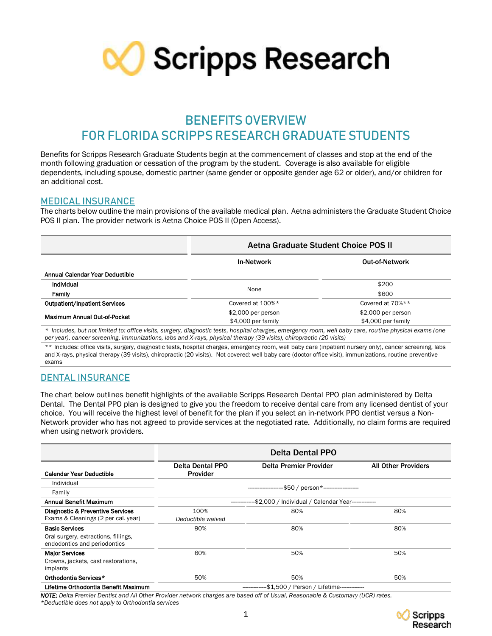

# **BENEFITS OVERVIEW FOR FLORIDASCRIPPS RESEARCH GRADUATE STUDENTS**

Benefits for Scripps Research Graduate Students begin at the commencement of classes and stop at the end of the month following graduation or cessation of the program by the student. Coverage is also available for eligible dependents, including spouse, domestic partner (same gender or opposite gender age 62 or older), and/or children for an additional cost.

# **MEDICAL INSURANCE**

The charts below outline the main provisions of the available medical plan. Aetna administers the Graduate Student Choice POS II plan. The provider network is Aetna Choice POS II (Open Access).

| Aetna Graduate Student Choice POS II |                     |  |
|--------------------------------------|---------------------|--|
| <b>In-Network</b>                    | Out-of-Network      |  |
|                                      |                     |  |
|                                      | \$200               |  |
|                                      | \$600               |  |
| Covered at 100%*                     | Covered at 70%**    |  |
| $$2,000$ per person                  | $$2,000$ per person |  |
| \$4,000 per family                   | \$4,000 per family  |  |
|                                      | None                |  |

*\* Includes, but not limited to: office visits, surgery, diagnostic tests, hospital charges, emergency room, well baby care, routine physical exams (one per year), cancer screening, immunizations, labs and X-rays, physical therapy (39 visits), chiropractic (20 visits)*

\*\* Includes: office visits, surgery, diagnostic tests, hospital charges, emergency room, well baby care (inpatient nursery only), cancer screening, labs and X-rays, physical therapy (39 visits), chiropractic (20 visits). Not covered: well baby care (doctor office visit), immunizations, routine preventive exams

# **DENTAL INSURANCE**

The chart below outlines benefit highlights of the available Scripps Research Dental PPO plan administered by Delta Dental. The Dental PPO plan is designed to give you the freedom to receive dental care from any licensed dentist of your choice. You will receive the highest level of benefit for the plan if you select an in-network PPO dentist versus a Non-Network provider who has not agreed to provide services at the negotiated rate. Additionally, no claim forms are required when using network providers.

|                                                                                               | <b>Delta Dental PPO</b>                                  |                                      |                            |
|-----------------------------------------------------------------------------------------------|----------------------------------------------------------|--------------------------------------|----------------------------|
| <b>Calendar Year Deductible</b>                                                               | <b>Delta Dental PPO</b><br>Provider                      | Delta Premier Provider               | <b>All Other Providers</b> |
| Individual                                                                                    |                                                          | -\$50 / person*--------------------- |                            |
| Family                                                                                        |                                                          |                                      |                            |
| Annual Benefit Maximum                                                                        | --\$2,000 / Individual / Calendar Year-------------      |                                      |                            |
| Diagnostic & Preventive Services<br>Exams & Cleanings (2 per cal. year)                       | 100%<br>Deductible waived                                | 80%                                  | 80%                        |
| <b>Basic Services</b><br>Oral surgery, extractions, fillings,<br>endodontics and periodontics | 90%                                                      | 80%                                  | 80%                        |
| <b>Major Services</b><br>Crowns, jackets, cast restorations,<br>implants                      | 60%                                                      | 50%                                  | 50%                        |
| Orthodontia Services*                                                                         | 50%                                                      | 50%                                  | 50%                        |
| Lifetime Orthodontia Benefit Maximum                                                          | --------------\$1,500 / Person / Lifetime--------------- |                                      |                            |

*NOTE: Delta Premier Dentist and All Other Provider network charges are based off of Usual, Reasonable & Customary (UCR) rates. \*Deductible does not apply to Orthodontia services*

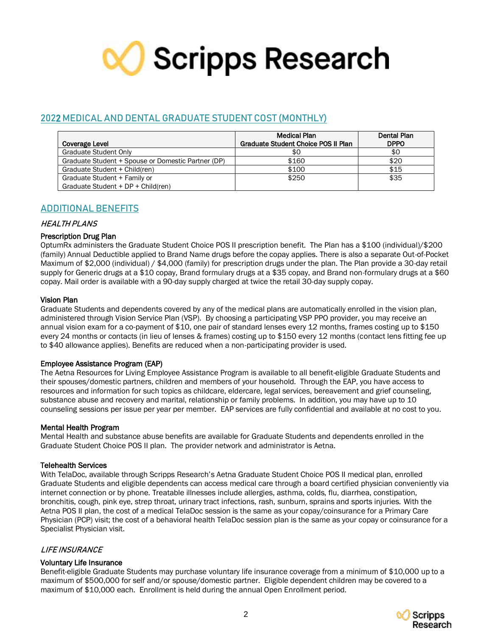

# **202**2 **MEDICAL AND DENTAL GRADUATE STUDENT COST (MONTHLY)**

|                                                    | <b>Medical Plan</b>                 | Dental Plan |
|----------------------------------------------------|-------------------------------------|-------------|
| Coverage Level                                     | Graduate Student Choice POS II Plan | <b>DPPO</b> |
| Graduate Student Only                              | \$0                                 | \$0         |
| Graduate Student + Spouse or Domestic Partner (DP) | \$160                               | \$20        |
| Graduate Student + Child(ren)                      | \$100                               | \$15        |
| Graduate Student + Family or                       | \$250                               | \$35        |
| Graduate Student + DP + Child(ren)                 |                                     |             |

# **ADDITIONAL BENEFITS**

# HEALTH PLANS

# Prescription Drug Plan

OptumRx administers the Graduate Student Choice POS II prescription benefit. The Plan has a \$100 (individual)/\$200 (family) Annual Deductible applied to Brand Name drugs before the copay applies. There is also a separate Out-of-Pocket Maximum of \$2,000 (individual) / \$4,000 (family) for prescription drugs under the plan. The Plan provide a 30-day retail supply for Generic drugs at a \$10 copay, Brand formulary drugs at a \$35 copay, and Brand non-formulary drugs at a \$60 copay. Mail order is available with a 90-day supply charged at twice the retail 30-day supply copay.

# Vision Plan

Graduate Students and dependents covered by any of the medical plans are automatically enrolled in the vision plan, administered through Vision Service Plan (VSP). By choosing a participating VSP PPO provider, you may receive an annual vision exam for a co-payment of \$10, one pair of standard lenses every 12 months, frames costing up to \$150 every 24 months or contacts (in lieu of lenses & frames) costing up to \$150 every 12 months (contact lens fitting fee up to \$40 allowance applies). Benefits are reduced when a non-participating provider is used.

# Employee Assistance Program (EAP)

The Aetna Resources for Living Employee Assistance Program is available to all benefit-eligible Graduate Students and their spouses/domestic partners, children and members of your household. Through the EAP, you have access to resources and information for such topics as childcare, eldercare, legal services, bereavement and grief counseling, substance abuse and recovery and marital, relationship or family problems. In addition, you may have up to 10 counseling sessions per issue per year per member. EAP services are fully confidential and available at no cost to you.

# Mental Health Program

Mental Health and substance abuse benefits are available for Graduate Students and dependents enrolled in the Graduate Student Choice POS II plan. The provider network and administrator is Aetna.

# Telehealth Services

With TelaDoc, available through Scripps Research's Aetna Graduate Student Choice POS II medical plan, enrolled Graduate Students and eligible dependents can access medical care through a board certified physician conveniently via internet connection or by phone. Treatable illnesses include allergies, asthma, colds, flu, diarrhea, constipation, bronchitis, cough, pink eye, strep throat, urinary tract infections, rash, sunburn, sprains and sports injuries. With the Aetna POS II plan, the cost of a medical TelaDoc session is the same as your copay/coinsurance for a Primary Care Physician (PCP) visit; the cost of a behavioral health TelaDoc session plan is the same as your copay or coinsurance for a Specialist Physician visit.

# LIFE INSURANCE

# Voluntary Life Insurance

Benefit-eligible Graduate Students may purchase voluntary life insurance coverage from a minimum of \$10,000 up to a maximum of \$500,000 for self and/or spouse/domestic partner. Eligible dependent children may be covered to a maximum of \$10,000 each. Enrollment is held during the annual Open Enrollment period.